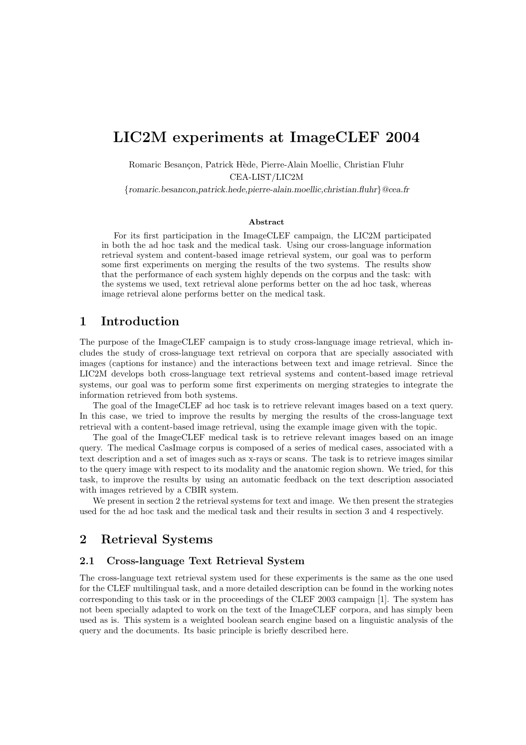# LIC2M experiments at ImageCLEF 2004

Romaric Besançon, Patrick Hède, Pierre-Alain Moellic, Christian Fluhr CEA-LIST/LIC2M

{romaric.besancon,patrick.hede,pierre-alain.moellic,christian.fluhr}@cea.fr

#### Abstract

For its first participation in the ImageCLEF campaign, the LIC2M participated in both the ad hoc task and the medical task. Using our cross-language information retrieval system and content-based image retrieval system, our goal was to perform some first experiments on merging the results of the two systems. The results show that the performance of each system highly depends on the corpus and the task: with the systems we used, text retrieval alone performs better on the ad hoc task, whereas image retrieval alone performs better on the medical task.

### 1 Introduction

The purpose of the ImageCLEF campaign is to study cross-language image retrieval, which includes the study of cross-language text retrieval on corpora that are specially associated with images (captions for instance) and the interactions between text and image retrieval. Since the LIC2M develops both cross-language text retrieval systems and content-based image retrieval systems, our goal was to perform some first experiments on merging strategies to integrate the information retrieved from both systems.

The goal of the ImageCLEF ad hoc task is to retrieve relevant images based on a text query. In this case, we tried to improve the results by merging the results of the cross-language text retrieval with a content-based image retrieval, using the example image given with the topic.

The goal of the ImageCLEF medical task is to retrieve relevant images based on an image query. The medical CasImage corpus is composed of a series of medical cases, associated with a text description and a set of images such as x-rays or scans. The task is to retrieve images similar to the query image with respect to its modality and the anatomic region shown. We tried, for this task, to improve the results by using an automatic feedback on the text description associated with images retrieved by a CBIR system.

We present in section 2 the retrieval systems for text and image. We then present the strategies used for the ad hoc task and the medical task and their results in section 3 and 4 respectively.

## 2 Retrieval Systems

#### 2.1 Cross-language Text Retrieval System

The cross-language text retrieval system used for these experiments is the same as the one used for the CLEF multilingual task, and a more detailed description can be found in the working notes corresponding to this task or in the proceedings of the CLEF 2003 campaign [1]. The system has not been specially adapted to work on the text of the ImageCLEF corpora, and has simply been used as is. This system is a weighted boolean search engine based on a linguistic analysis of the query and the documents. Its basic principle is briefly described here.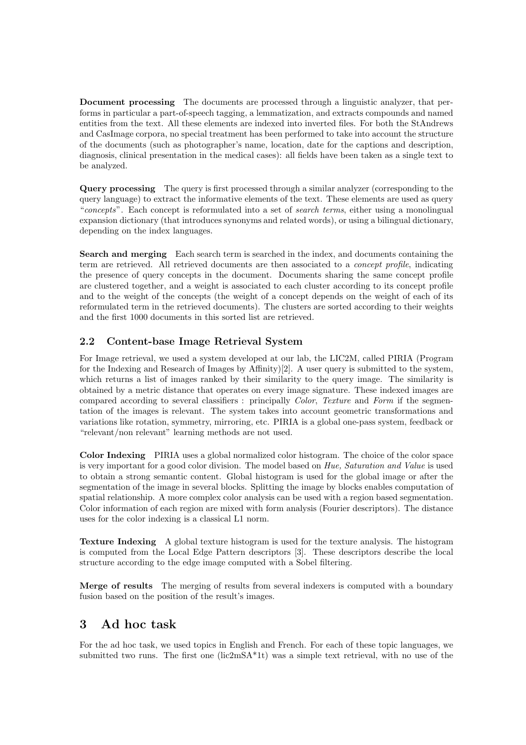Document processing The documents are processed through a linguistic analyzer, that performs in particular a part-of-speech tagging, a lemmatization, and extracts compounds and named entities from the text. All these elements are indexed into inverted files. For both the StAndrews and CasImage corpora, no special treatment has been performed to take into account the structure of the documents (such as photographer's name, location, date for the captions and description, diagnosis, clinical presentation in the medical cases): all fields have been taken as a single text to be analyzed.

Query processing The query is first processed through a similar analyzer (corresponding to the query language) to extract the informative elements of the text. These elements are used as query "concepts". Each concept is reformulated into a set of search terms, either using a monolingual expansion dictionary (that introduces synonyms and related words), or using a bilingual dictionary, depending on the index languages.

Search and merging Each search term is searched in the index, and documents containing the term are retrieved. All retrieved documents are then associated to a concept profile, indicating the presence of query concepts in the document. Documents sharing the same concept profile are clustered together, and a weight is associated to each cluster according to its concept profile and to the weight of the concepts (the weight of a concept depends on the weight of each of its reformulated term in the retrieved documents). The clusters are sorted according to their weights and the first 1000 documents in this sorted list are retrieved.

## 2.2 Content-base Image Retrieval System

For Image retrieval, we used a system developed at our lab, the LIC2M, called PIRIA (Program for the Indexing and Research of Images by Affinity)[2]. A user query is submitted to the system, which returns a list of images ranked by their similarity to the query image. The similarity is obtained by a metric distance that operates on every image signature. These indexed images are compared according to several classifiers : principally Color, Texture and Form if the segmentation of the images is relevant. The system takes into account geometric transformations and variations like rotation, symmetry, mirroring, etc. PIRIA is a global one-pass system, feedback or "relevant/non relevant" learning methods are not used.

Color Indexing PIRIA uses a global normalized color histogram. The choice of the color space is very important for a good color division. The model based on Hue, Saturation and Value is used to obtain a strong semantic content. Global histogram is used for the global image or after the segmentation of the image in several blocks. Splitting the image by blocks enables computation of spatial relationship. A more complex color analysis can be used with a region based segmentation. Color information of each region are mixed with form analysis (Fourier descriptors). The distance uses for the color indexing is a classical L1 norm.

Texture Indexing A global texture histogram is used for the texture analysis. The histogram is computed from the Local Edge Pattern descriptors [3]. These descriptors describe the local structure according to the edge image computed with a Sobel filtering.

Merge of results The merging of results from several indexers is computed with a boundary fusion based on the position of the result's images.

## 3 Ad hoc task

For the ad hoc task, we used topics in English and French. For each of these topic languages, we submitted two runs. The first one  $(lic2mSA^*1t)$  was a simple text retrieval, with no use of the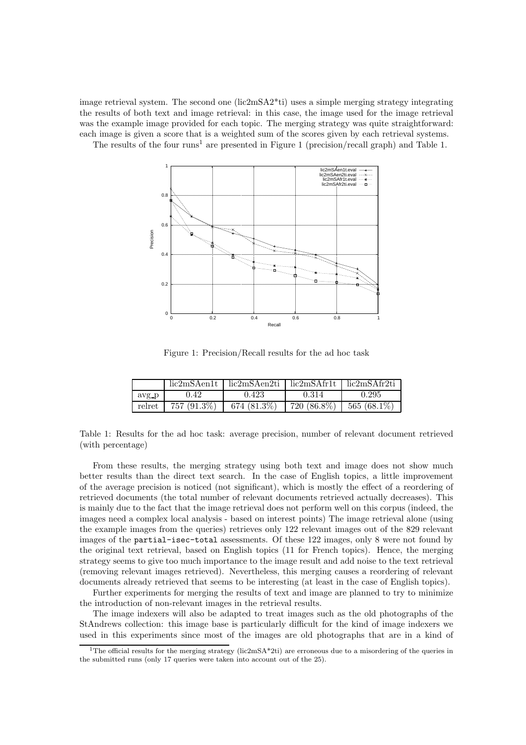image retrieval system. The second one  $(lic2mSA2*ti)$  uses a simple merging strategy integrating the results of both text and image retrieval: in this case, the image used for the image retrieval was the example image provided for each topic. The merging strategy was quite straightforward: each image is given a score that is a weighted sum of the scores given by each retrieval systems.

The results of the four runs<sup>1</sup> are presented in Figure 1 (precision/recall graph) and Table 1.



Figure 1: Precision/Recall results for the ad hoc task

|       |                         | lic2mSAen1t   lic2mSAen2ti   lic2mSAfr1t   lic2mSAfr2ti |             |               |
|-------|-------------------------|---------------------------------------------------------|-------------|---------------|
| avg p | 0.42                    | 0.423                                                   | 0.314       | 0.295         |
|       | relret   $757 (91.3\%)$ | 674 (81.3%)                                             | 720 (86.8%) | $565(68.1\%)$ |

Table 1: Results for the ad hoc task: average precision, number of relevant document retrieved (with percentage)

From these results, the merging strategy using both text and image does not show much better results than the direct text search. In the case of English topics, a little improvement of the average precision is noticed (not significant), which is mostly the effect of a reordering of retrieved documents (the total number of relevant documents retrieved actually decreases). This is mainly due to the fact that the image retrieval does not perform well on this corpus (indeed, the images need a complex local analysis - based on interest points) The image retrieval alone (using the example images from the queries) retrieves only 122 relevant images out of the 829 relevant images of the partial-isec-total assessments. Of these 122 images, only 8 were not found by the original text retrieval, based on English topics (11 for French topics). Hence, the merging strategy seems to give too much importance to the image result and add noise to the text retrieval (removing relevant images retrieved). Nevertheless, this merging causes a reordering of relevant documents already retrieved that seems to be interesting (at least in the case of English topics).

Further experiments for merging the results of text and image are planned to try to minimize the introduction of non-relevant images in the retrieval results.

The image indexers will also be adapted to treat images such as the old photographs of the StAndrews collection: this image base is particularly difficult for the kind of image indexers we used in this experiments since most of the images are old photographs that are in a kind of

<sup>&</sup>lt;sup>1</sup>The official results for the merging strategy (lic2mSA\*2ti) are erroneous due to a misordering of the queries in the submitted runs (only 17 queries were taken into account out of the 25).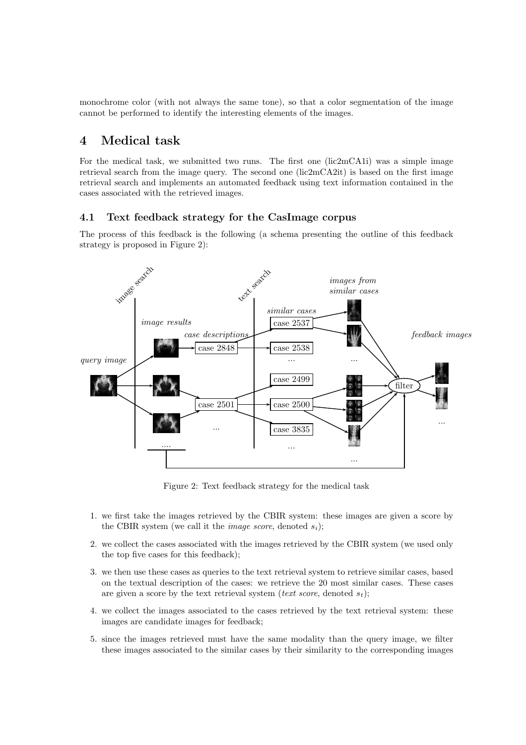monochrome color (with not always the same tone), so that a color segmentation of the image cannot be performed to identify the interesting elements of the images.

## 4 Medical task

For the medical task, we submitted two runs. The first one (lic2mCA1i) was a simple image retrieval search from the image query. The second one (lic2mCA2it) is based on the first image retrieval search and implements an automated feedback using text information contained in the cases associated with the retrieved images.

### 4.1 Text feedback strategy for the CasImage corpus

The process of this feedback is the following (a schema presenting the outline of this feedback strategy is proposed in Figure 2):



Figure 2: Text feedback strategy for the medical task

- 1. we first take the images retrieved by the CBIR system: these images are given a score by the CBIR system (we call it the *image score*, denoted  $s_i$ );
- 2. we collect the cases associated with the images retrieved by the CBIR system (we used only the top five cases for this feedback);
- 3. we then use these cases as queries to the text retrieval system to retrieve similar cases, based on the textual description of the cases: we retrieve the 20 most similar cases. These cases are given a score by the text retrieval system (text score, denoted  $s_t$ );
- 4. we collect the images associated to the cases retrieved by the text retrieval system: these images are candidate images for feedback;
- 5. since the images retrieved must have the same modality than the query image, we filter these images associated to the similar cases by their similarity to the corresponding images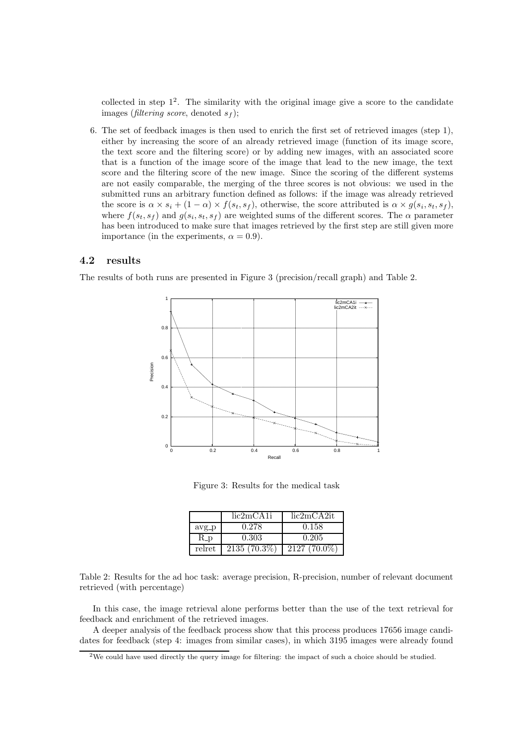collected in step  $1^2$ . The similarity with the original image give a score to the candidate images (filtering score, denoted  $s_f$ );

6. The set of feedback images is then used to enrich the first set of retrieved images (step 1), either by increasing the score of an already retrieved image (function of its image score, the text score and the filtering score) or by adding new images, with an associated score that is a function of the image score of the image that lead to the new image, the text score and the filtering score of the new image. Since the scoring of the different systems are not easily comparable, the merging of the three scores is not obvious: we used in the submitted runs an arbitrary function defined as follows: if the image was already retrieved the score is  $\alpha \times s_i + (1 - \alpha) \times f(s_t, s_f)$ , otherwise, the score attributed is  $\alpha \times g(s_i, s_t, s_f)$ , where  $f(s_t, s_f)$  and  $g(s_t, s_t, s_f)$  are weighted sums of the different scores. The  $\alpha$  parameter has been introduced to make sure that images retrieved by the first step are still given more importance (in the experiments,  $\alpha = 0.9$ ).

#### 4.2 results

The results of both runs are presented in Figure 3 (precision/recall graph) and Table 2.



Figure 3: Results for the medical task

|         | lic2mCA1i      | lic2mCA2it     |
|---------|----------------|----------------|
| $avg_p$ | 0.278          | 0.158          |
| $R_p$   | 0.303          | 0.205          |
| relret  | $2135(70.3\%)$ | $2127(70.0\%)$ |

Table 2: Results for the ad hoc task: average precision, R-precision, number of relevant document retrieved (with percentage)

In this case, the image retrieval alone performs better than the use of the text retrieval for feedback and enrichment of the retrieved images.

A deeper analysis of the feedback process show that this process produces 17656 image candidates for feedback (step 4: images from similar cases), in which 3195 images were already found

<sup>&</sup>lt;sup>2</sup>We could have used directly the query image for filtering: the impact of such a choice should be studied.